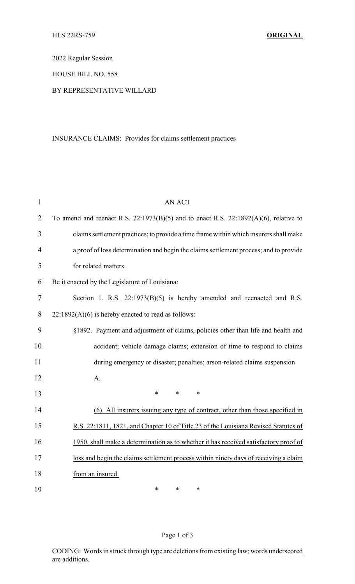2022 Regular Session

HOUSE BILL NO. 558

#### BY REPRESENTATIVE WILLARD

# INSURANCE CLAIMS: Provides for claims settlement practices

| $\mathbf{1}$   | <b>AN ACT</b>                                                                             |
|----------------|-------------------------------------------------------------------------------------------|
| $\overline{2}$ | To amend and reenact R.S. $22:1973(B)(5)$ and to enact R.S. $22:1892(A)(6)$ , relative to |
| 3              | claims settlement practices; to provide a time frame within which insurers shall make     |
| $\overline{4}$ | a proof of loss determination and begin the claims settlement process; and to provide     |
| 5              | for related matters.                                                                      |
| 6              | Be it enacted by the Legislature of Louisiana:                                            |
| $\tau$         | Section 1. R.S. 22:1973(B)(5) is hereby amended and reenacted and R.S.                    |
| 8              | $22:1892(A)(6)$ is hereby enacted to read as follows:                                     |
| 9              | §1892. Payment and adjustment of claims, policies other than life and health and          |
| 10             | accident; vehicle damage claims; extension of time to respond to claims                   |
| 11             | during emergency or disaster; penalties; arson-related claims suspension                  |
| 12             | A.                                                                                        |
| 13             | *<br>$\ast$<br>$\ast$                                                                     |
| 14             | (6) All insurers issuing any type of contract, other than those specified in              |
| 15             | R.S. 22:1811, 1821, and Chapter 10 of Title 23 of the Louisiana Revised Statutes of       |
| 16             | 1950, shall make a determination as to whether it has received satisfactory proof of      |
| 17             | loss and begin the claims settlement process within ninety days of receiving a claim      |
| 18             | from an insured.                                                                          |
| 19             | *<br>*<br>$\ast$                                                                          |

# Page 1 of 3

CODING: Words in struck through type are deletions from existing law; words underscored are additions.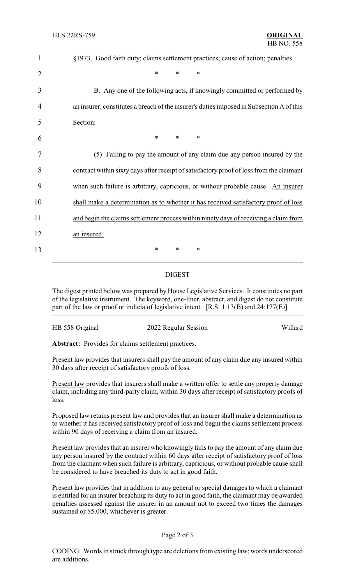| 1              | §1973. Good faith duty; claims settlement practices; cause of action; penalties          |
|----------------|------------------------------------------------------------------------------------------|
| $\overline{2}$ | $\ast$<br>$\ast$<br>$\ast$                                                               |
| 3              | B. Any one of the following acts, if knowingly committed or performed by                 |
| 4              | an insurer, constitutes a breach of the insurer's duties imposed in Subsection A of this |
| 5              | Section:                                                                                 |
| 6              | $\ast$<br>*<br>∗                                                                         |
| 7              | (5) Failing to pay the amount of any claim due any person insured by the                 |
| 8              | contract within sixty days after receipt of satisfactory proof of loss from the claimant |
| 9              | when such failure is arbitrary, capricious, or without probable cause. An insurer        |
| 10             | shall make a determination as to whether it has received satisfactory proof of loss      |
| 11             | and begin the claims settlement process within ninety days of receiving a claim from     |
| 12             | an insured.                                                                              |
| 13             | *<br>∗<br>*                                                                              |
|                |                                                                                          |

### DIGEST

The digest printed below was prepared by House Legislative Services. It constitutes no part of the legislative instrument. The keyword, one-liner, abstract, and digest do not constitute part of the law or proof or indicia of legislative intent. [R.S. 1:13(B) and 24:177(E)]

| HB 558 Original | 2022 Regular Session | Willard |
|-----------------|----------------------|---------|
|                 |                      |         |

**Abstract:** Provides for claims settlement practices.

Present law provides that insurers shall pay the amount of any claim due any insured within 30 days after receipt of satisfactory proofs of loss.

Present law provides that insurers shall make a written offer to settle any property damage claim, including any third-party claim, within 30 days after receipt of satisfactory proofs of loss.

Proposed law retains present law and provides that an insurer shall make a determination as to whether it has received satisfactory proof of loss and begin the claims settlement process within 90 days of receiving a claim from an insured.

Present law provides that an insurer who knowingly fails to pay the amount of any claim due any person insured by the contract within 60 days after receipt of satisfactory proof of loss from the claimant when such failure is arbitrary, capricious, or without probable cause shall be considered to have breached its duty to act in good faith.

Present law provides that in addition to any general or special damages to which a claimant is entitled for an insurer breaching its duty to act in good faith, the claimant may be awarded penalties assessed against the insurer in an amount not to exceed two times the damages sustained or \$5,000, whichever is greater.

#### Page 2 of 3